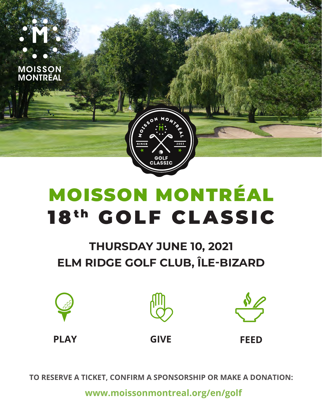

# **THURSDAY JUNE 10, 2021** ELM RIDGE GOLF CLUB, ÎLE-BIZARD







**PLAY** 

**GIVE** 

**FFFD** 

TO RESERVE A TICKET, CONFIRM A SPONSORSHIP OR MAKE A DONATION:

www.moissonmontreal.org/en/golf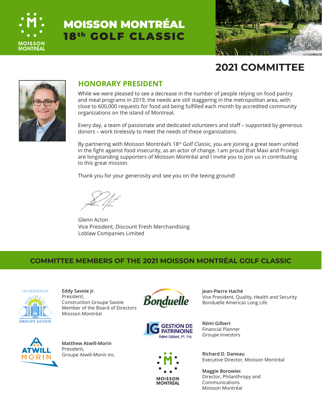



## **2021 COMMITTEE**



#### **HONORARY PRESIDENT**

While we were pleased to see a decrease in the number of people relying on food pantry and meal programs in 2019, the needs are still staggering in the metropolitan area, with close to 600,000 requests for food aid being fulfilled each month by accredited community organizations on the island of Montreal.

Every day, a team of passionate and dedicated volunteers and staff – supported by generous donors – work tirelessly to meet the needs of these organizations.

By partnering with Moisson Montréal's 18<sup>th</sup> Golf Classic, you are joining a great team united in the fight against food insecurity, as an actor of change. I am proud that Maxi and Provigo are longstanding supporters of Moisson Montréal and I invite you to join us in contributing to this great mission.

Thank you for your generosity and see you on the teeing ground!

Glenn Acton Vice President, Discount Fresh Merchandising Loblaw Companies Limited

#### **COMMITTEE MEMBERS OF THE 2021 MOISSON MONTRÉAL GOLF CLASSIC**



**Eddy Savoie Jr.** President, Construction Groupe Savoie Member of the Board of Directors







**Jean-Pierre Haché** Vice President, Quality, Health and Security Bonduelle Americas Long Life

**Rémi Gilbert** Financial Planner Groupe Investors

Executive Director, Moisson Montréal

**Maggie Borowiec** Director, Philanthropy and Communications Moisson Montréal

Moisson Montréal



**Matthew Atwill-Morin** President, Groupe Atwill-Morin inc. **Richard D. Daneau**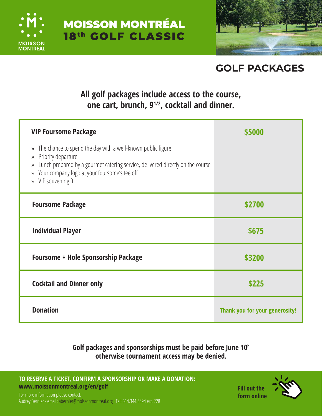



# **GOLF PACKAGES**

## **All golf packages include access to the course, one cart, brunch, 91/2, cocktail and dinner.**

| <b>VIP Foursome Package</b>                                                                                                                                                                                                                                                                            | \$5000 |
|--------------------------------------------------------------------------------------------------------------------------------------------------------------------------------------------------------------------------------------------------------------------------------------------------------|--------|
| The chance to spend the day with a well-known public figure<br>$\rangle\!\rangle$<br>Priority departure<br>»<br>Lunch prepared by a gourmet catering service, delivered directly on the course<br>»<br>Your company logo at your foursome's tee off<br>$\rangle$<br>VIP souvenir gift<br>$\mathcal{V}$ |        |
| <b>Foursome Package</b>                                                                                                                                                                                                                                                                                | \$2700 |
|                                                                                                                                                                                                                                                                                                        |        |
| <b>Individual Player</b>                                                                                                                                                                                                                                                                               | \$675  |
| <b>Foursome + Hole Sponsorship Package</b>                                                                                                                                                                                                                                                             | \$3200 |
| <b>Cocktail and Dinner only</b>                                                                                                                                                                                                                                                                        | \$225  |

### **Golf packages and sponsorships must be paid before June 10h otherwise tournament access may be denied.**

**[TO RESERVE A TICKET, CONFIRM A SPONSORSHIP OR MAKE A DONATION:](http://www.golf.moissonmontreal.org)  www.moissonmontreal.org/en/golf**



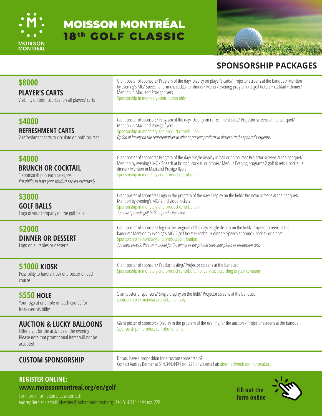



## **SPONSORSHIP PACKAGES**

| \$8000<br><b>PLAYER'S CARTS</b><br>Visibility on both courses, on all players' carts                                                                | Giant poster of sponsors/ Program of the day/ Display on player's carts/ Projector screens at the banquet/ Mention<br>by evening's MC/ Speech at brunch, cocktail or dinner/ Menu / Evening program / 2 golf tickets + cocktail + dinner/<br>Mention in Maxi and Provigo flyers<br>Sponsorship in monetary contribution only                                                            |
|-----------------------------------------------------------------------------------------------------------------------------------------------------|-----------------------------------------------------------------------------------------------------------------------------------------------------------------------------------------------------------------------------------------------------------------------------------------------------------------------------------------------------------------------------------------|
| \$4000<br><b>REFRESHMENT CARTS</b><br>2 refreshment carts to circulate on both courses                                                              | Giant poster of sponsors/ Program of the day/ Display on refreshment carts/ Projector screens at the banquet/<br>Mention in Maxi and Provigo flyers<br>Sponsorship in monetary and product contribution<br>Option of having on site representatives to offer or present products to players (at the sponsor's expense)                                                                  |
| \$4000<br><b>BRUNCH OR COCKTAIL</b><br>1 sponsorship in each category<br>Possibility to have your product served exclusively                        | Giant poster of sponsors/ Program of the day/ Single display in hall or on course/ Projector screens at the banquet/<br>Mention by evening's MC / Speech at brunch, cocktail or dinner/ Menu / Evening program/ 2 golf tickets + cocktail +<br>dinner/ Mention in Maxi and Provigo flyers<br>Sponsorship in monetary and product contribution                                           |
| \$3000<br><b>GOLF BALLS</b><br>Logo of your company on the golf balls                                                                               | Giant poster of sponsors/ Logo in the program of the day/ Display on the field/ Projector screens at the banquet/<br>Mention by evening's MC/2 individual tickets<br>Sponsorship in monetary and product contribution<br>You must provide golf balls or production costs                                                                                                                |
| \$2000<br><b>DINNER OR DESSERT</b><br>Logo on all tables or desserts                                                                                | Giant poster of sponsors/logo in the program of the day/ Single display on the field/ Projector screens at the<br>banquet/ Mention by evening's MC/ 2 golf tickets+ cocktail + dinner/ Speech at brunch, cocktail or dinner<br>Sponsorship in monetary and product contribution<br>You must provide the raw material for the dinner or the printed chocolate plates or production costs |
| <b>\$1000 KIOSK</b><br>Possibility to have a kiosk or a poster on each<br>course                                                                    | Giant poster of sponsors/ Product tasting/ Projector screens at the banquet<br>Sponsorship in monetary and product contribution or services according to your company                                                                                                                                                                                                                   |
| <b>\$550 HOLE</b><br>Your logo at one hole on each course for<br>increased visibility                                                               | Giant poster of sponsors/ Single display on the field/ Projector screens at the banquet<br>Sponsorship in monetary contribution only                                                                                                                                                                                                                                                    |
| <b>AUCTION &amp; LUCKY BALLOONS</b><br>Offer a gift for the activities of the evening<br>Please note that promotional items will not be<br>accepted | Giant poster of sponsors/ Display in the program of the evening for the auction / Projector screens at the banquet<br>Sponsorship in product contribution only                                                                                                                                                                                                                          |
| <b>CUSTOM SPONSORSHIP</b>                                                                                                                           | Do you have a proposition for a custom sponsorship?<br>Contact Audrey Bernier at 514.344.4494 ext. 228 or via email at: abernier@moissonmontreal.org                                                                                                                                                                                                                                    |

#### **REGISTER ONLINE: [www.moissonmontreal.org/en/golf](http://www.moissonmontreal.org/en/golf)**

For more information please contact: [Audrey Bernier - email: abernier@moissonmontreal.org Tel: 514.344.4494 ext. 228](http://www.golf.moissonmontreal.org)